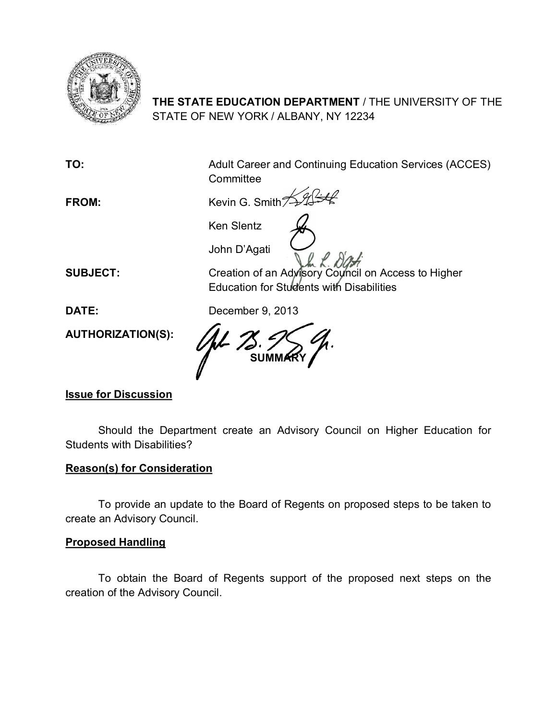

# **THE STATE EDUCATION DEPARTMENT** / THE UNIVERSITY OF THE STATE OF NEW YORK / ALBANY, NY 12234

**TO:** Adult Career and Continuing Education Services (ACCES) **Committee** 

FROM: Kevin G. Smith

Ken Slentz

John D'Agati

**SUBJECT:** Creation of an Advisory Council on Access to Higher Education for Students with Disabilities

**DATE:** December 9, 2013

**AUTHORIZATION(S):**

**SUMMARY**

## **Issue for Discussion**

Should the Department create an Advisory Council on Higher Education for Students with Disabilities?

### **Reason(s) for Consideration**

To provide an update to the Board of Regents on proposed steps to be taken to create an Advisory Council.

### **Proposed Handling**

To obtain the Board of Regents support of the proposed next steps on the creation of the Advisory Council.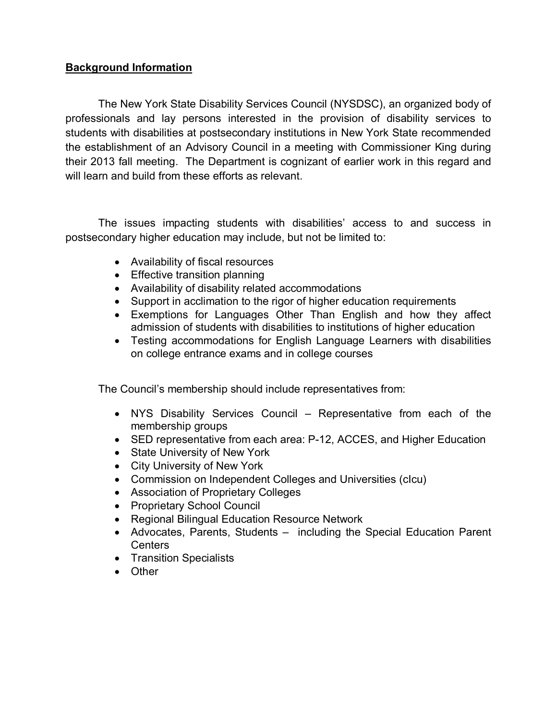#### **Background Information**

The New York State Disability Services Council (NYSDSC), an organized body of professionals and lay persons interested in the provision of disability services to students with disabilities at postsecondary institutions in New York State recommended the establishment of an Advisory Council in a meeting with Commissioner King during their 2013 fall meeting. The Department is cognizant of earlier work in this regard and will learn and build from these efforts as relevant.

The issues impacting students with disabilities' access to and success in postsecondary higher education may include, but not be limited to:

- · Availability of fiscal resources
- Effective transition planning
- · Availability of disability related accommodations
- · Support in acclimation to the rigor of higher education requirements
- · Exemptions for Languages Other Than English and how they affect admission of students with disabilities to institutions of higher education
- · Testing accommodations for English Language Learners with disabilities on college entrance exams and in college courses

The Council's membership should include representatives from:

- · NYS Disability Services Council Representative from each of the membership groups
- SED representative from each area: P-12, ACCES, and Higher Education
- State University of New York
- City University of New York
- · Commission on Independent Colleges and Universities (cIcu)
- · Association of Proprietary Colleges
- · Proprietary School Council
- · Regional Bilingual Education Resource Network
- · Advocates, Parents, Students including the Special Education Parent **Centers**
- · Transition Specialists
- · Other